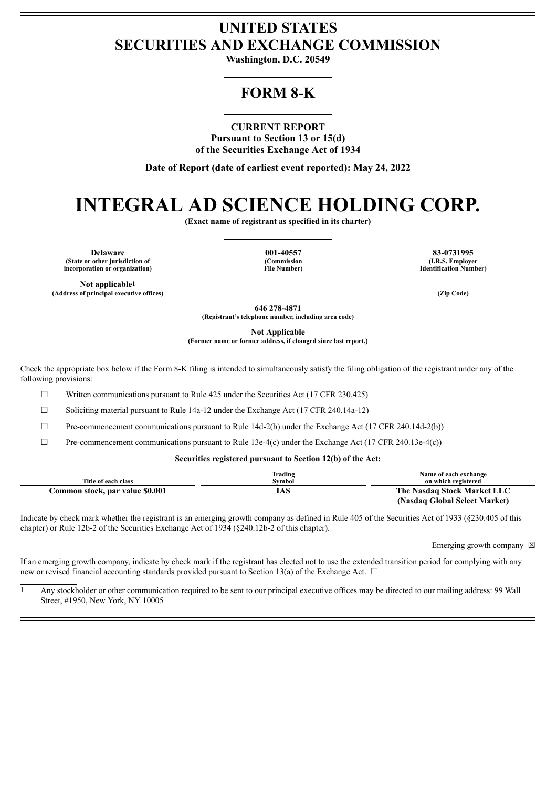## **UNITED STATES SECURITIES AND EXCHANGE COMMISSION**

**Washington, D.C. 20549**

## **FORM 8-K**

**CURRENT REPORT**

**Pursuant to Section 13 or 15(d) of the Securities Exchange Act of 1934**

**Date of Report (date of earliest event reported): May 24, 2022**

# **INTEGRAL AD SCIENCE HOLDING CORP.**

**(Exact name of registrant as specified in its charter)**

**Delaware 001-40557 83-0731995 (State or other jurisdiction of incorporation or organization)**

**Not applicable1**

**(Commission File Number)**

**(I.R.S. Employer Identification Number)**

**(Address of principal executive offices) (Zip Code)**

**646 278-4871**

**(Registrant's telephone number, including area code)**

**Not Applicable**

**(Former name or former address, if changed since last report.)**

Check the appropriate box below if the Form 8-K filing is intended to simultaneously satisfy the filing obligation of the registrant under any of the following provisions:

 $\Box$  Written communications pursuant to Rule 425 under the Securities Act (17 CFR 230.425)

 $\Box$  Soliciting material pursuant to Rule 14a-12 under the Exchange Act (17 CFR 240.14a-12)

 $\Box$  Pre-commencement communications pursuant to Rule 14d-2(b) under the Exchange Act (17 CFR 240.14d-2(b))

 $\Box$  Pre-commencement communications pursuant to Rule 13e-4(c) under the Exchange Act (17 CFR 240.13e-4(c))

#### **Securities registered pursuant to Section 12(b) of the Act:**

|                                 | Trading | Name of each exchange         |
|---------------------------------|---------|-------------------------------|
| Title of each class             | Svmbol  | on which registered           |
| Common stock, par value \$0.001 | 1AS.    | The Nasdaq Stock Market LLC   |
|                                 |         | (Nasdaq Global Select Market) |

Indicate by check mark whether the registrant is an emerging growth company as defined in Rule 405 of the Securities Act of 1933 (§230.405 of this chapter) or Rule 12b-2 of the Securities Exchange Act of 1934 (§240.12b-2 of this chapter).

Emerging growth company  $\boxtimes$ 

If an emerging growth company, indicate by check mark if the registrant has elected not to use the extended transition period for complying with any new or revised financial accounting standards provided pursuant to Section 13(a) of the Exchange Act.  $\Box$ 

 $\frac{1}{1}$  Any stockholder or other communication required to be sent to our principal executive offices may be directed to our mailing address: 99 Wall Street, #1950, New York, NY 10005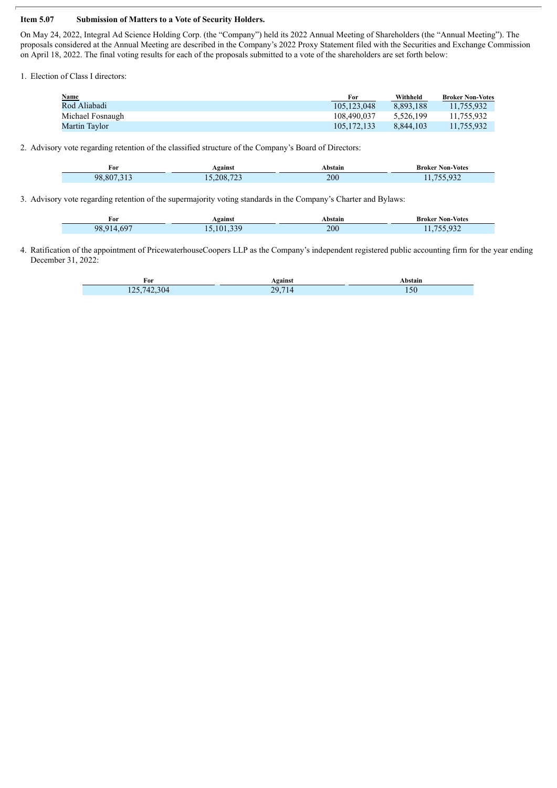#### **Item 5.07 Submission of Matters to a Vote of Security Holders.**

On May 24, 2022, Integral Ad Science Holding Corp. (the "Company") held its 2022 Annual Meeting of Shareholders (the "Annual Meeting"). The proposals considered at the Annual Meeting are described in the Company's 2022 Proxy Statement filed with the Securities and Exchange Commission on April 18, 2022. The final voting results for each of the proposals submitted to a vote of the shareholders are set forth below:

1. Election of Class I directors:

| <b>Name</b>      | For         | Withheld  | <b>Broker Non-Votes</b> |
|------------------|-------------|-----------|-------------------------|
| Rod Aliabadi     | 105.123.048 | 8.893.188 | 11.755.932              |
| Michael Fosnaugh | 108.490.037 | 5.526.199 | 11,755,932              |
| Martin Taylor    | 105.172.133 | 8.844.103 | 11.755.932              |

2. Advisory vote regarding retention of the classified structure of the Company's Board of Directors:

| -<br>For  | Against       | Abstain | Broker Non-Votes |
|-----------|---------------|---------|------------------|
| 807<br>98 | $-0.0$<br>208 | 200     | ے ر              |

3. Advisory vote regarding retention of the supermajority voting standards in the Company's Charter and Bylaws:

| $\sim$<br>For | Against | Abstain | <b>Broker Non-Votes</b> |
|---------------|---------|---------|-------------------------|
| 98,914,697    | 101 339 | 200     | 755.932<br>11, 133, 732 |

4. Ratification of the appointment of PricewaterhouseCoopers LLP as the Company's independent registered public accounting firm for the year ending December 31, 2022:

| For                                | vøainst  | <b>\bstain</b> |
|------------------------------------|----------|----------------|
| 304<br>. .<br>ג כ<br>74<br>$1 - 1$ | 207<br>- | 150            |